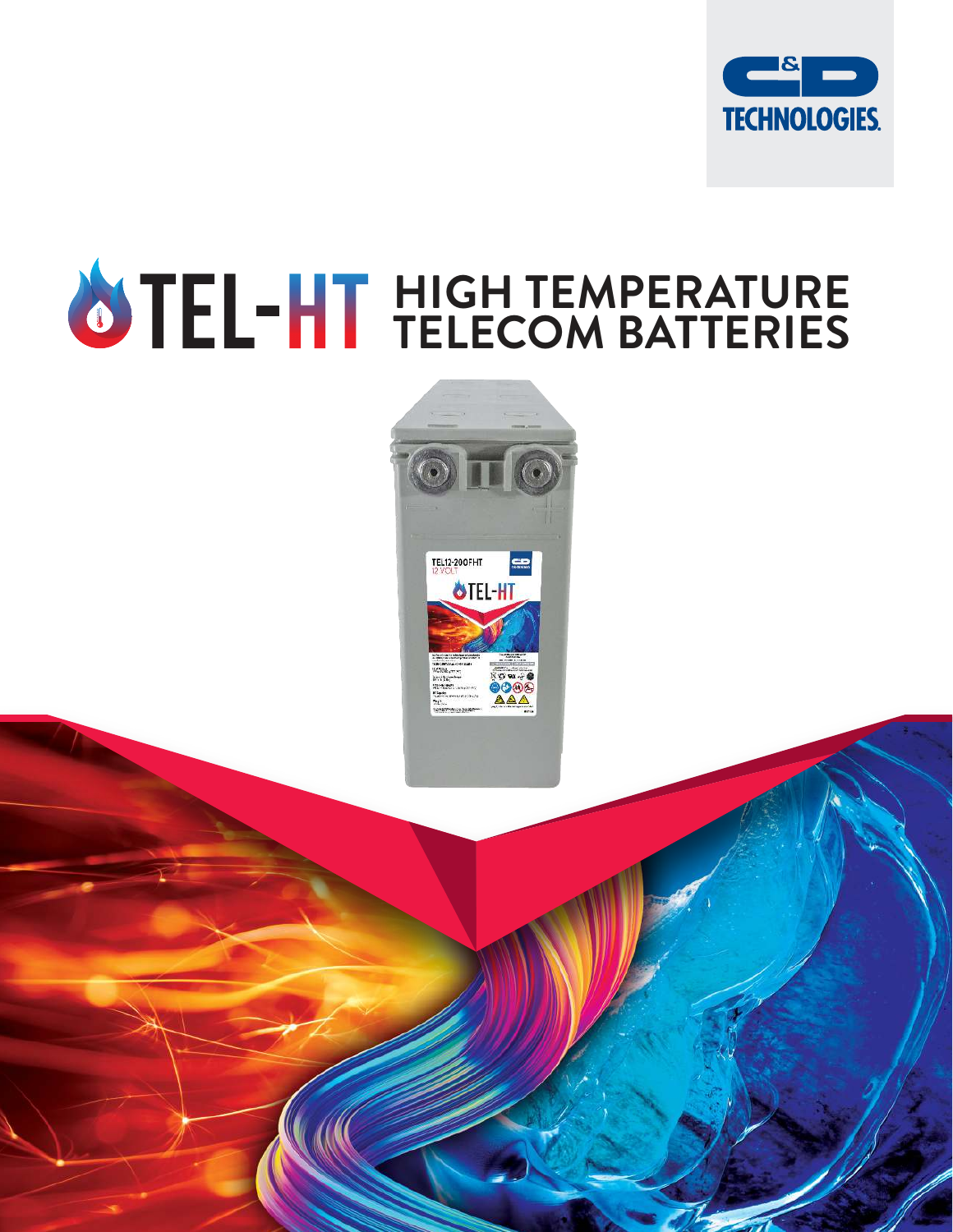

# **HIGH TEMPERATURE TELECOM BATTERIES**

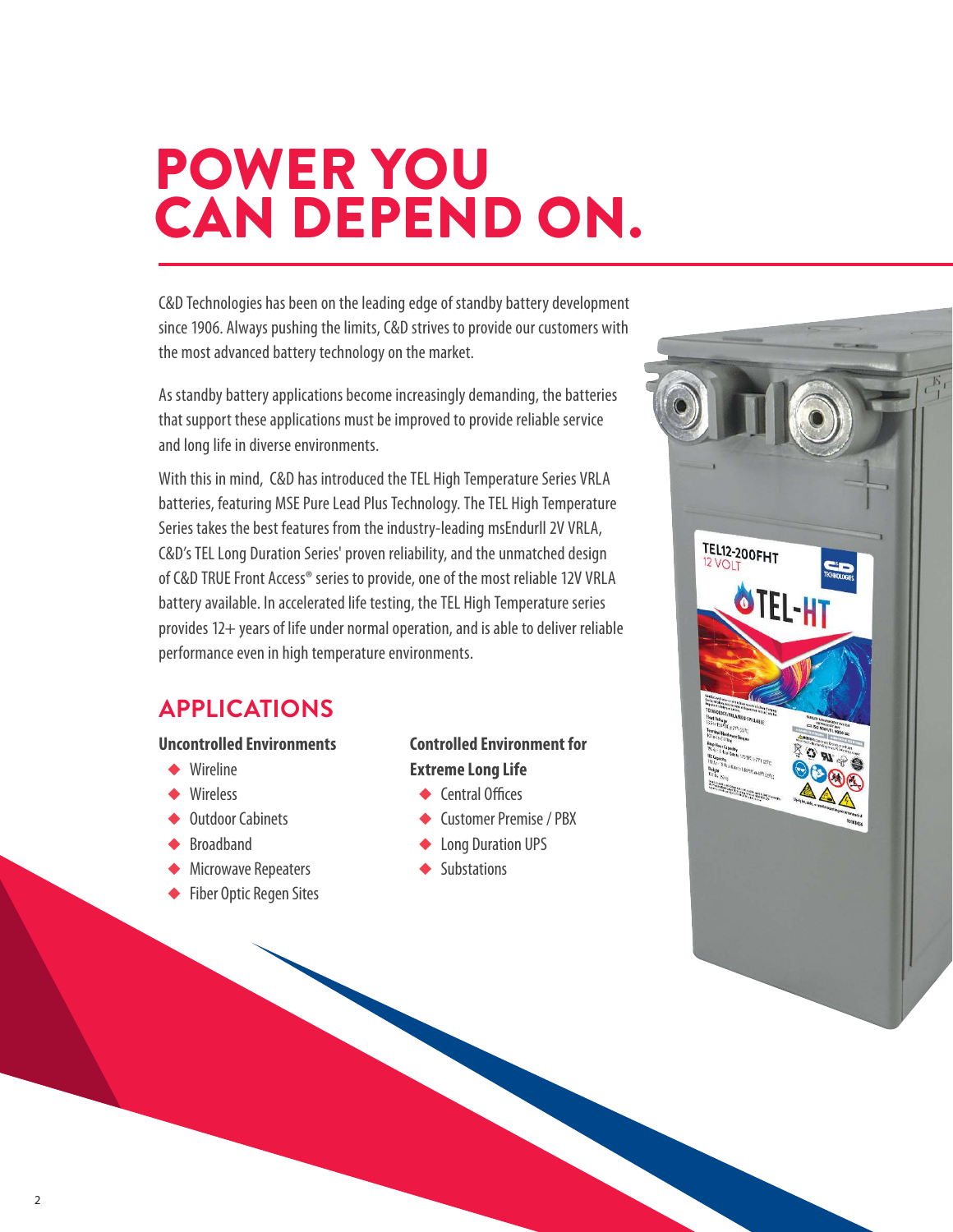# POWER YOU CAN DEPEND ON.

C&D Technologies has been on the leading edge of standby battery development since 1906. Always pushing the limits, C&D strives to provide our customers with the most advanced battery technology on the market.

As standby battery applications become increasingly demanding, the batteries that support these applications must be improved to provide reliable service and long life in diverse environments.

With this in mind, C&D has introduced the TEL High Temperature Series VRLA batteries, featuring MSE Pure Lead Plus Technology. The TEL High Temperature Series takes the best features from the industry-leading msEndurll 2V VRLA, C&D's TEL Long Duration Series' proven reliability, and the unmatched design of C&D TRUE Front Access® series to provide, one of the most reliable 12V VRLA battery available. In accelerated life testing, the TEL High Temperature series provides 12+ years of life under normal operation, and is able to deliver reliable performance even in high temperature environments.

#### **APPLICATIONS**

#### **Uncontrolled Environments**

- ◆ Wireline
- ◆ Wireless
- ◆ Outdoor Cabinets
- ◆ Broadband
- ◆ Microwave Repeaters
- ◆ Fiber Optic Regen Sites

#### **Controlled Environment for Extreme Long Life**

- ◆ Central Offices
- ◆ Customer Premise / PBX
- ◆ Long Duration UPS
- ◆ Substations

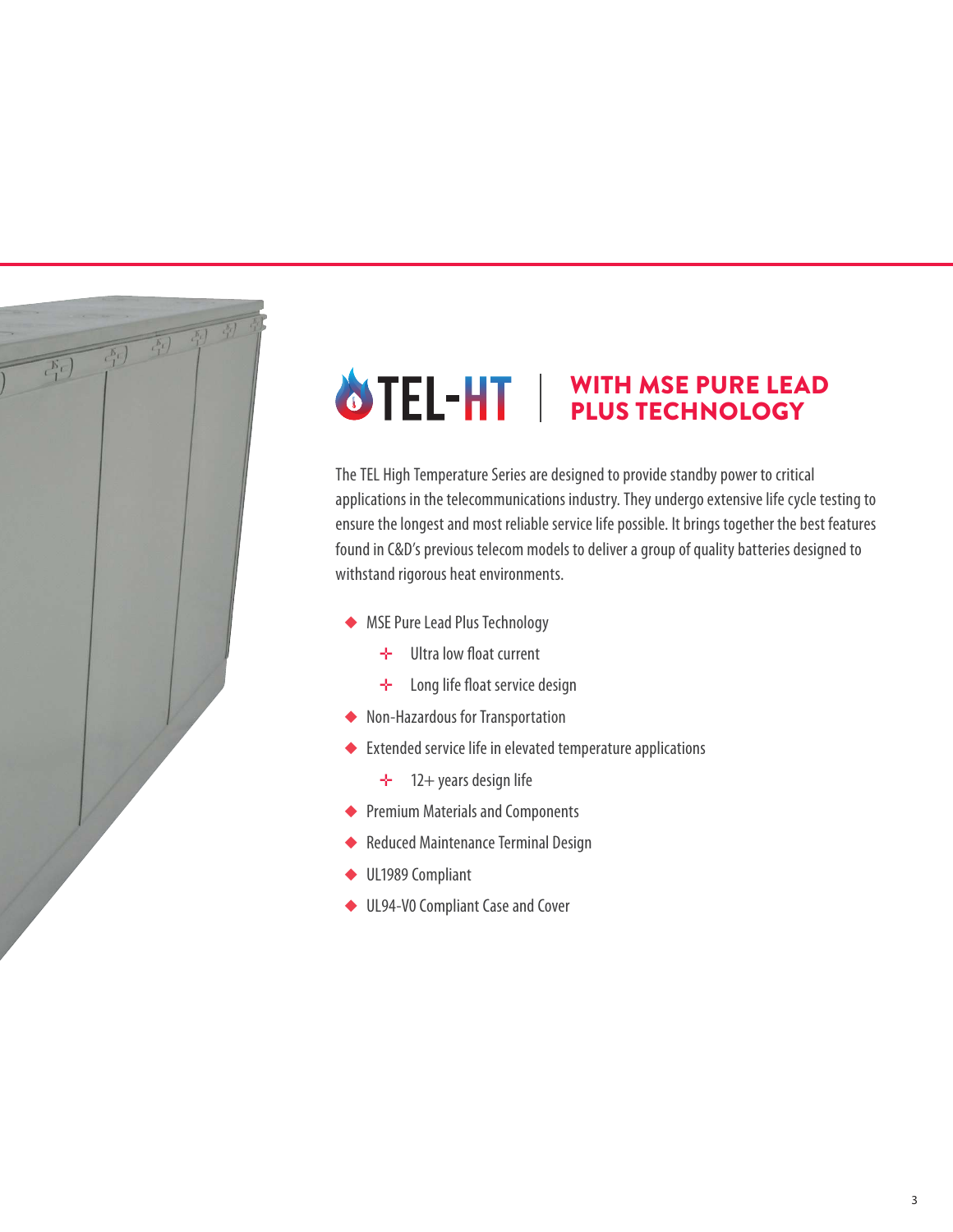

### WITH MSE PURE LEAD PLUS TECHNOLOGY

The TEL High Temperature Series are designed to provide standby power to critical applications in the telecommunications industry. They undergo extensive life cycle testing to ensure the longest and most reliable service life possible. It brings together the best features found in C&D's previous telecom models to deliver a group of quality batteries designed to withstand rigorous heat environments.

- ◆ MSE Pure Lead Plus Technology
	- $→$  Ultra low float current
	- $\div$  Long life float service design
- ◆ Non-Hazardous for Transportation
- ◆ Extended service life in elevated temperature applications
	- ✛ 12+ years design life
- ◆ Premium Materials and Components
- ◆ Reduced Maintenance Terminal Design
- ◆ UL1989 Compliant
- ◆ UL94-V0 Compliant Case and Cover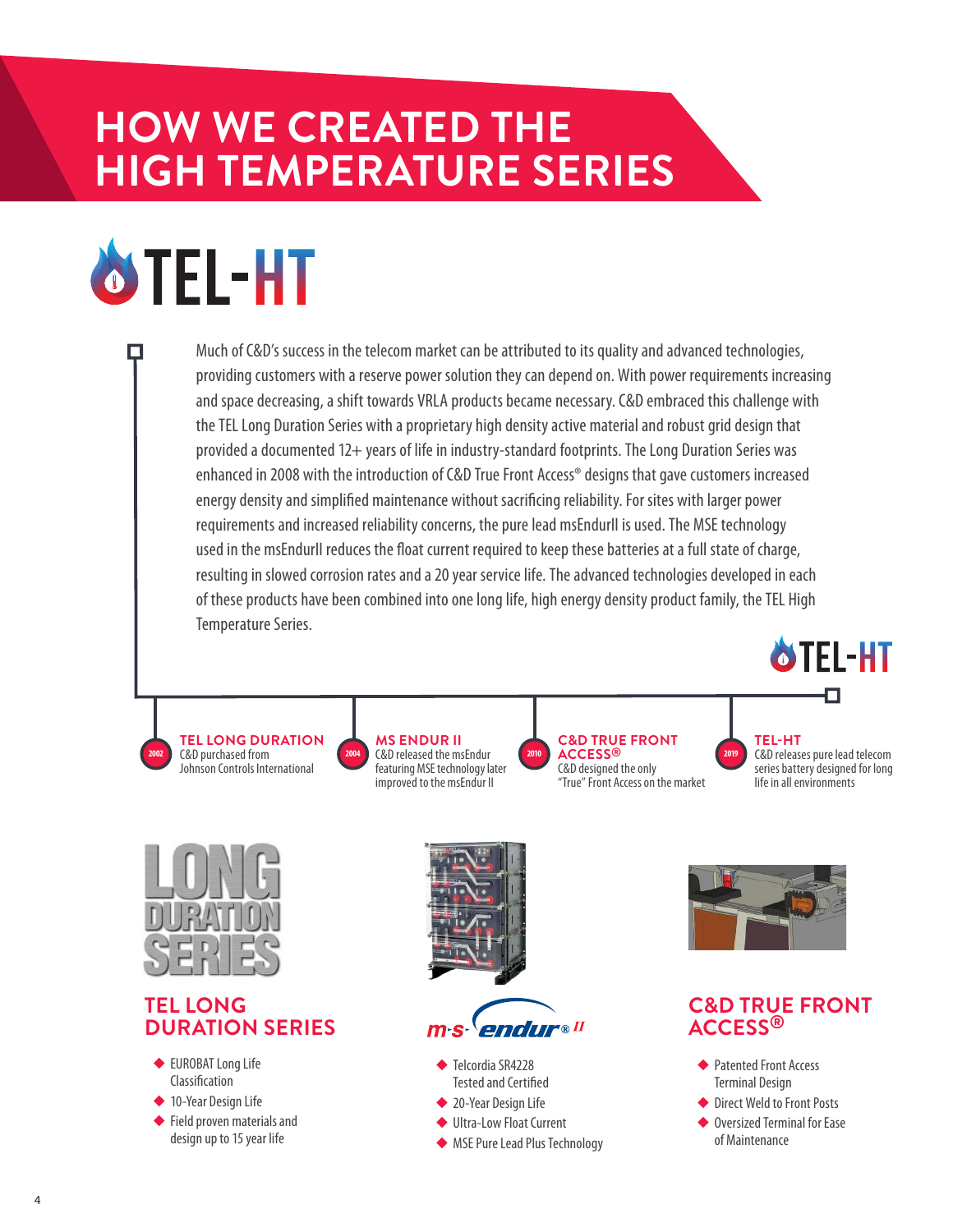# **HOW WE CREATED THE HIGH TEMPERATURE SERIES**

# **OTEL-HT**

Much of C&D's success in the telecom market can be attributed to its quality and advanced technologies, providing customers with a reserve power solution they can depend on. With power requirements increasing and space decreasing, a shift towards VRLA products became necessary. C&D embraced this challenge with the TEL Long Duration Series with a proprietary high density active material and robust grid design that provided a documented 12+ years of life in industry-standard footprints. The Long Duration Series was enhanced in 2008 with the introduction of C&D True Front Access® designs that gave customers increased energy density and simplified maintenance without sacrificing reliability. For sites with larger power requirements and increased reliability concerns, the pure lead msEndurII is used. The MSE technology used in the msEndurII reduces the float current required to keep these batteries at a full state of charge, resulting in slowed corrosion rates and a 20 year service life. The advanced technologies developed in each of these products have been combined into one long life, high energy density product family, the TEL High Temperature Series.

**TEL LONG DURATION** C&D purchased from Johnson Controls International **2002**



**C&D TRUE FRONT ACCESS® 2010 2019** C&D designed the only "True" Front Access on the market

**OTEL-HT** 

**TEL-HT** C&D releases pure lead telecom series battery designed for long life in all environments



#### **TEL LONG DURATION SERIES**

- ◆ EUROBAT Long Life Classification
- ◆ 10-Year Design Life
- ◆ Field proven materials and design up to 15 year life





- ◆ Telcordia SR4228 Tested and Certified
- ◆ 20-Year Design Life
- ◆ Ultra-Low Float Current
- ◆ MSE Pure Lead Plus Technology



#### **C&D TRUE FRONT ACCESS®**

- ◆ Patented Front Access Terminal Design
- ◆ Direct Weld to Front Posts
- ◆ Oversized Terminal for Ease of Maintenance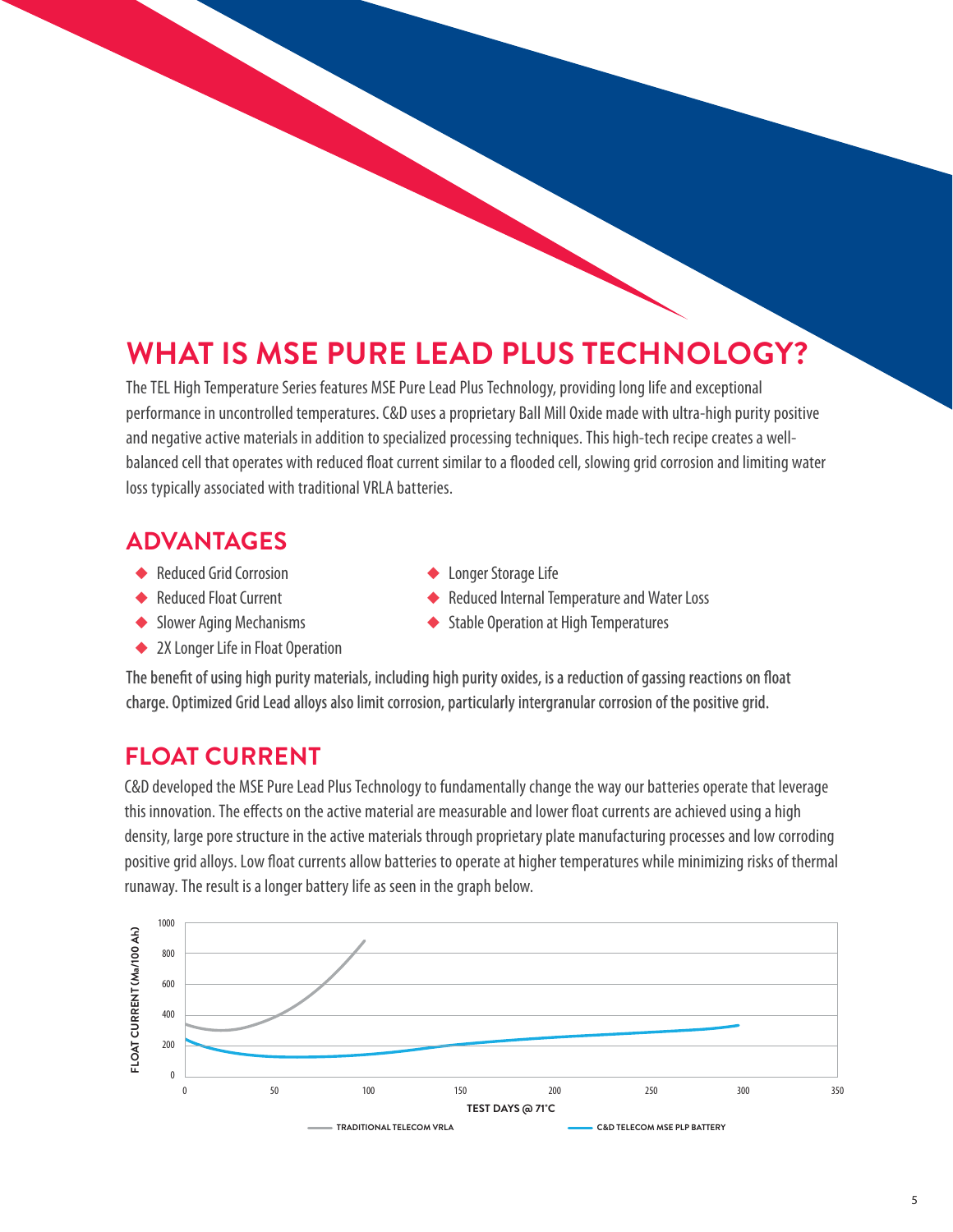## **WHAT IS MSE PURE LEAD PLUS TECHNOLOGY?**

The TEL High Temperature Series features MSE Pure Lead Plus Technology, providing long life and exceptional performance in uncontrolled temperatures. C&D uses a proprietary Ball Mill Oxide made with ultra-high purity positive and negative active materials in addition to specialized processing techniques. This high-tech recipe creates a wellbalanced cell that operates with reduced float current similar to a flooded cell, slowing grid corrosion and limiting water loss typically associated with traditional VRLA batteries.

#### **ADVANTAGES**

- ◆ Reduced Grid Corrosion
- ◆ Reduced Float Current
- ◆ Slower Aging Mechanisms
- ◆ 2X Longer Life in Float Operation
- Longer Storage Life
- Reduced Internal Temperature and Water Loss
- **Stable Operation at High Temperatures**

The benefit of using high purity materials, including high purity oxides, is a reduction of gassing reactions on float charge. Optimized Grid Lead alloys also limit corrosion, particularly intergranular corrosion of the positive grid.

#### **FLOAT CURRENT**

C&D developed the MSE Pure Lead Plus Technology to fundamentally change the way our batteries operate that leverage this innovation. The effects on the active material are measurable and lower float currents are achieved using a high density, large pore structure in the active materials through proprietary plate manufacturing processes and low corroding positive grid alloys. Low float currents allow batteries to operate at higher temperatures while minimizing risks of thermal runaway. The result is a longer battery life as seen in the graph below.

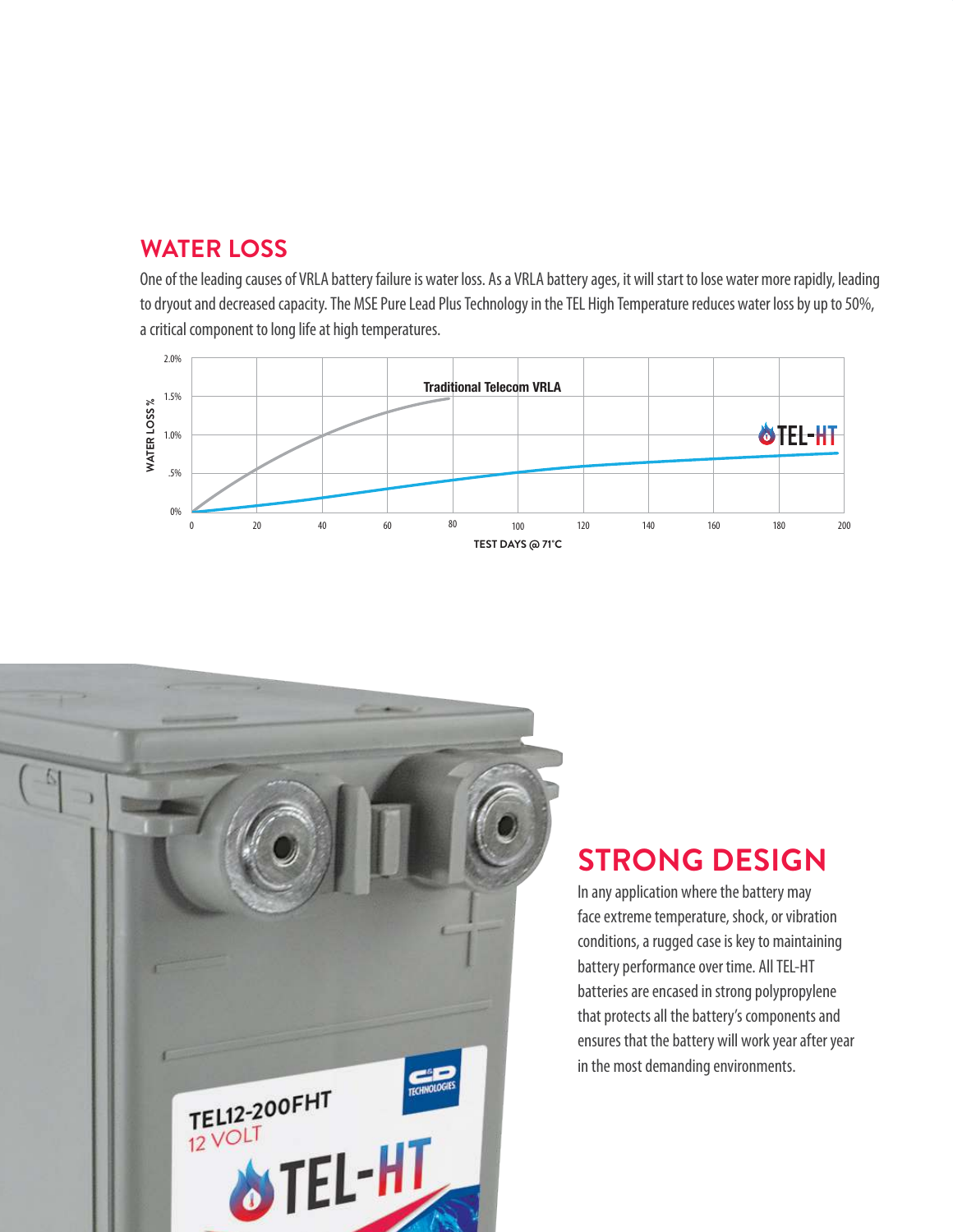#### **WATER LOSS**

One of the leading causes of VRLA battery failure is water loss. As a VRLA battery ages, it will start to lose water more rapidly, leading to dryout and decreased capacity. The MSE Pure Lead Plus Technology in the TEL High Temperature reduces water loss by up to 50%, a critical component to long life at high temperatures.





## **STRONG DESIGN**

In any application where the battery may face extreme temperature, shock, or vibration conditions, a rugged case is key to maintaining battery performance over time. All TEL-HT batteries are encased in strong polypropylene that protects all the battery's components and ensures that the battery will work year after year in the most demanding environments.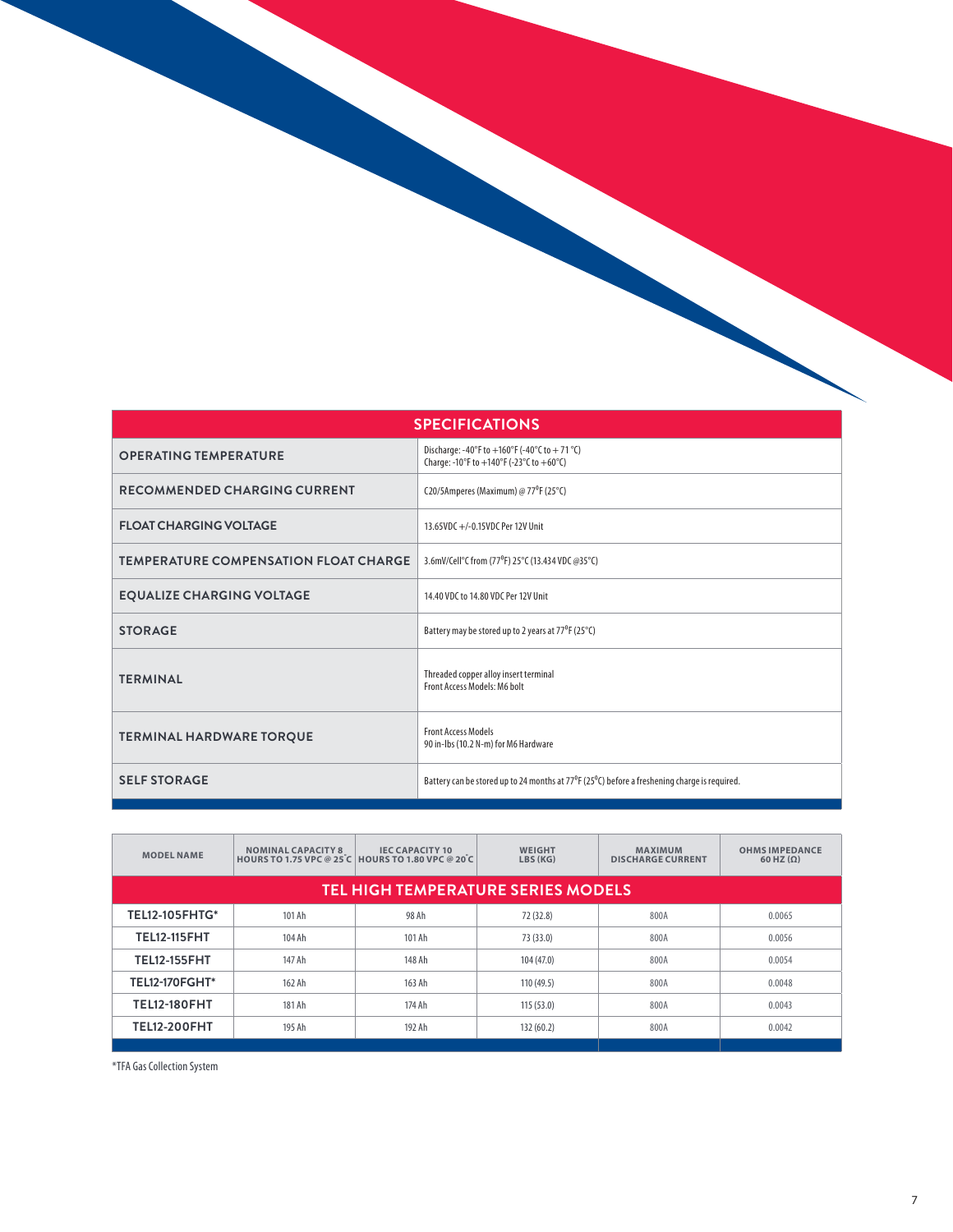| <b>SPECIFICATIONS</b>                        |                                                                                                                    |  |  |  |  |  |  |
|----------------------------------------------|--------------------------------------------------------------------------------------------------------------------|--|--|--|--|--|--|
| <b>OPERATING TEMPERATURE</b>                 | Discharge: -40°F to +160°F (-40°C to +71 °C)<br>Charge: -10°F to +140°F (-23°C to +60°C)                           |  |  |  |  |  |  |
| <b>RECOMMENDED CHARGING CURRENT</b>          | C20/5Amperes (Maximum) @ 77°F (25°C)                                                                               |  |  |  |  |  |  |
| <b>FLOAT CHARGING VOLTAGE</b>                | 13.65VDC +/-0.15VDC Per 12V Unit                                                                                   |  |  |  |  |  |  |
| <b>TEMPERATURE COMPENSATION FLOAT CHARGE</b> | 3.6mV/Cell°C from (77°F) 25°C (13.434 VDC @35°C)                                                                   |  |  |  |  |  |  |
| <b>EQUALIZE CHARGING VOLTAGE</b>             | 14.40 VDC to 14.80 VDC Per 12V Unit                                                                                |  |  |  |  |  |  |
| <b>STORAGE</b>                               | Battery may be stored up to 2 years at 77 <sup>°</sup> F (25 <sup>°</sup> C)                                       |  |  |  |  |  |  |
| <b>TERMINAL</b>                              | Threaded copper alloy insert terminal<br>Front Access Models: M6 bolt                                              |  |  |  |  |  |  |
| <b>TERMINAL HARDWARE TORQUE</b>              | <b>Front Access Models</b><br>90 in-Ibs (10.2 N-m) for M6 Hardware                                                 |  |  |  |  |  |  |
| <b>SELF STORAGE</b>                          | Battery can be stored up to 24 months at 77 $^{\circ}$ F (25 $^{\circ}$ C) before a freshening charge is required. |  |  |  |  |  |  |

| <b>MODEL NAME</b>                         | <b>NOMINAL CAPACITY 8</b> | <b>IEC CAPACITY 10</b><br><b>HOURS TO 1.75 VPC @ 25 C HOURS TO 1.80 VPC @ 20 C</b> | <b>WEIGHT</b><br>LBS (KG) | <b>MAXIMUM</b><br><b>DISCHARGE CURRENT</b> | <b>OHMS IMPEDANCE</b><br>$60$ HZ $(\Omega)$ |  |  |  |  |  |  |  |
|-------------------------------------------|---------------------------|------------------------------------------------------------------------------------|---------------------------|--------------------------------------------|---------------------------------------------|--|--|--|--|--|--|--|
| <b>TEL HIGH TEMPERATURE SERIES MODELS</b> |                           |                                                                                    |                           |                                            |                                             |  |  |  |  |  |  |  |
| <b>TEL12-105FHTG*</b>                     | 101 Ah                    | 98 Ah                                                                              | 72 (32.8)                 | 800A                                       | 0.0065                                      |  |  |  |  |  |  |  |
| <b>TEL12-115FHT</b>                       | 104 Ah                    | 101 Ah                                                                             | 73 (33.0)                 | 800A                                       | 0.0056                                      |  |  |  |  |  |  |  |
| <b>TEL12-155FHT</b>                       | 147 Ah                    | 148 Ah                                                                             | 104 (47.0)                | 800A                                       | 0.0054                                      |  |  |  |  |  |  |  |
| <b>TEL12-170FGHT*</b>                     | 162 Ah                    | 163 Ah                                                                             | 110 (49.5)                | 800A                                       | 0.0048                                      |  |  |  |  |  |  |  |
| <b>TEL12-180FHT</b>                       | 181 Ah                    | 174 Ah                                                                             | 115(53.0)                 | 800A                                       | 0.0043                                      |  |  |  |  |  |  |  |
| <b>TEL12-200FHT</b>                       | 195 Ah                    | 192 Ah                                                                             | 132(60.2)                 | 800A                                       | 0.0042                                      |  |  |  |  |  |  |  |

\*TFA Gas Collection System